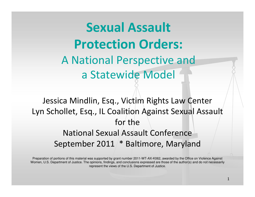Sexual Assault Protection Orders: A National Perspective and a Statewide Model

Jessica Mindlin, Esq., Victim Rights Law Center Lyn Schollet, Esq., IL Coalition Against Sexual Assaultfor the National Sexual Assault ConferenceSeptember 2011 \* Baltimore, Maryland

Preparation of portions of this material was supported by grant number 2011-WT-AX-K062, awarded by the Office on Violence Against Women, U.S. Department of Justice. The opinions, findings, and conclusions expressed are those of the author(s) and do not necessarily represent the views of the U.S. Department of Justice.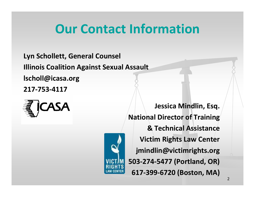### Our Contact Information

Lyn Schollett, General CounselIllinois Coalition Against Sexual Assaultlscholl@icasa.org217-753-4117





Jessica Mindlin, Esq.National Director of Training & Technical AssistanceVictim Rights Law Centerjmindlin@victimrights.org503-274-5477 (Portland, OR)617-399-6720 (Boston, MA)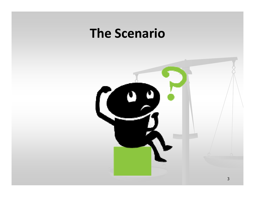### The Scenario

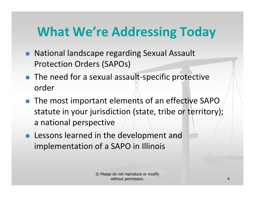## What We're Addressing Today

- **National landscape regarding Sexual Assault** Protection Orders (SAPOs)
- The need for a sexual assault-specific protective order
- $\blacksquare$  The most important elements of an effective SAPO statute in your jurisdiction (state, tribe or territory); a national perspective
- **Lessons learned in the development and** implementation of a SAPO in Illinois

© Please do not reproduce or modify without permission. $\sim$  4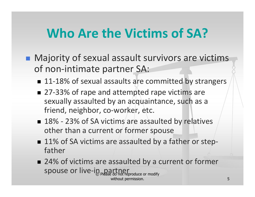### Who Are the Victims of SA?

- **Najority of sexual assault survivors are victims** of non-intimate partner SA:
	- 11-18% of sexual assaults are committed by strangers
	- 27-33% of rape and attempted rape victims are sexually assaulted by an acquaintance, such as a friend, neighbor, co-worker, etc.
	- 18% 23% of SA victims are assaulted by relatives other than a current or former spouse
	- 11% of SA victims are assaulted by a father or step-<br>father
	- © Please do not reproduce or modify without permission. 5■ 24% of victims are assaulted by a current or former spouse or live-in partner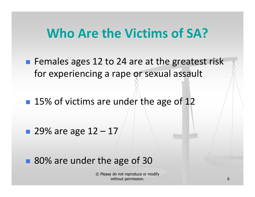### Who Are the Victims of SA?

p. ■ Females ages 12 to 24 are at the greatest risk for experiencing a rape or sexual assault

■ 15% of victims are under the age of 12

**29% are age**  $12 - 17$ 

■ 80% are under the age of 30

© Please do not reproduce or modify without permission. $\sim$  6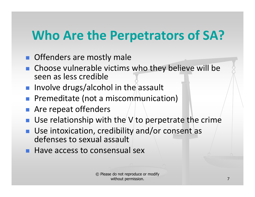## Who Are the Perpetrators of SA?

- **Offenders are mostly male**
- **n** Choose vulnerable victims who they believe will be seen as less credible
- T. **Involve drugs/alcohol in the assault**
- **Premeditate (not a miscommunication)**
- **Are repeat offenders**
- **Use relationship with the V** to perpetrate the crime
- T. ■ Use intoxication, credibility and/or consent as defenses to sexual assault
- **Have access to consensual sex**

© Please do not reproduce or modify without permission.7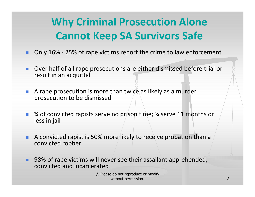### Why Criminal Prosecution Alone Cannot Keep SA Survivors Safe

- Only 16% 25% of rape victims report the crime to law enforcement
- × Over half of all rape prosecutions are either dismissed before trial or result in an acquittal
- a. A rape prosecution is more than twice as likely as a murder prosecution to be dismissed
- $\mathcal{L}_{\mathcal{A}}$  <sup>¼</sup> of convicted rapists serve no prison time; ¼ serve 11 months or less in jail
- п A convicted rapist is 50% more likely to receive probation than a convicted robber
- ٠ 98% of rape victims will never see their assailant apprehended, convicted and incarcerated

© Please do not reproduce or modify without permission.e de la construction de la construction de la construction de la construction de la construction de la constru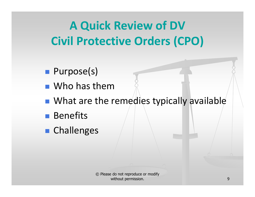## A Quick Review of DV Civil Protective Orders (CPO)

- p. ■ Purpose(s)
- Who has them
- $\blacksquare$  What are the **Nhat are the remedies typically available**
- $\mathbb{R}^2$ ■ Benefits
- Challenges

© Please do not reproduce or modify without permission.е производите на селото на селото на 1990 година, които е од 1990 година, които е од 1990 година, които е од 1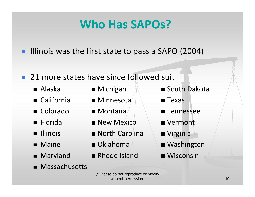### Who Has SAPOs?

- **Illinois was the first state to pass a SAPO (2004)**
- 21 more states have since followed suit
	- Alaska ■
	- California ■
	- Colorado ■
	- Florida ■
	- Illinois ■
	- Maine ■
	- Maryland ■
	- Massachusetts
- 
- $\blacksquare$  Minnesota  $\parallel$   $\blacksquare$  Texas
- 
- New Mexico Nermont
- North Carolina A Virginia
- 
- Rhode Island Wisconsin
- Michigan **Kommunism South Dakota** 
	-
- Montana A B → Tennessee
	-
	-
- Oklahoma | Washington
	-
	- © Please do not reproduce or modify without permission. $10$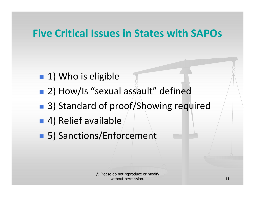### Five Critical Issues in States with SAPOs

- 1) Who is eligible
- 2) How/Is "sexual assault" defined
- $\mathbb{R}^2$ ■ 3) Standard of proof/Showing required
- 4) Relief available
- 5) Sanctions/Enforcement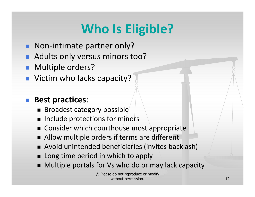# Who Is Eligible?

- **Non-intimate partner only?**
- **Adults only versus minors too?**
- Multiple orders?
- Victim who lacks capacity?

#### T. Best practices:

- Broadest category possible
- $\blacksquare$  Include protections for minors
- Consider which courthouse most appropriate
- $\blacksquare$  Allow multiple orders if terms are different
- Avoid unintended beneficiaries (invites backlash)
- Long time period in which to apply
- H Multiple portals for Vs who do or may lack capacity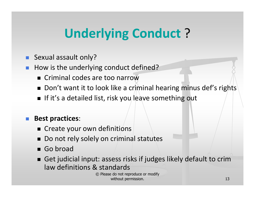# Underlying Conduct ?

- Sexual assault only?
- $\overline{\phantom{a}}$  How is the underlying conduct defined?
	- Criminal codes are too narrow
	- $\blacksquare$  Don't want it to look like a criminal hearing minus def's rights
	- $\blacksquare$  If it's a detailed list, risk you/leave something out

#### Best practices:

- $\blacksquare$  Create your own definitions
- H Do not rely solely on criminal statutes
- Go broad
- Get judicial input: assess risks if judges likely default to crim law definitions & standards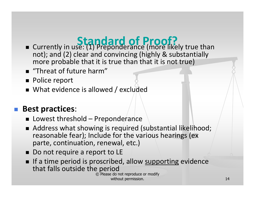### Standard of Proof?

- not); and (2) clear and convincing (highly & substantially ■ Currently in use: (1) Preponderance (more likely true than more probable that it is true than that it is not true)
- $\blacksquare$  "Threat of future harm"
- Police report
- $\quad \blacksquare$  What evidence is allowed / excluded

### **Best practices:**

- $\blacksquare$  Lowest threshold Preponderance
- Address what showing is required (substantial likelihood; reasonable fear); Include for the various hearings (ex parte, continuation, renewal, etc.)
- Do not require a report to LE
- If a time period is proscribed, allow supporting evidence that falls outside the period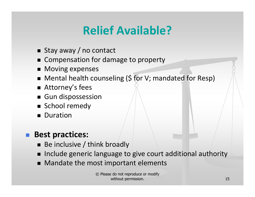### Relief Available?

- Stay away / no contact
- Compensation for damage to property
- Moving expenses
- Mental health counseling (\$ for V; mandated for Resp)
- Attorney's fees
- Gun dispossession
- $\blacksquare$  School remedy
- Duration

#### ٠ Best practices:

- $\blacksquare$  Be inclusive / think broadly
- $\blacksquare$ Include generic language to give court additional authority
- Mandate the most important elements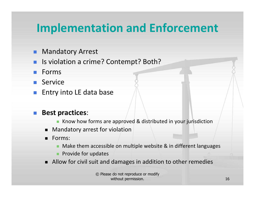### Implementation and Enforcement

- п Mandatory Arrest
- Is violation a crime? Contempt? Both?
- **College** Forms
- Service
- F. Entry into LE data base

#### Best practices:

- **K** Know how forms are approved & distributed in your jurisdiction
- Mandatory arrest for violation
- $\blacksquare$  Forms:
	- Make them accessible on multiple website & in different languages
	- Provide for updates
- Allow for civil suit and damages in addition to other remedies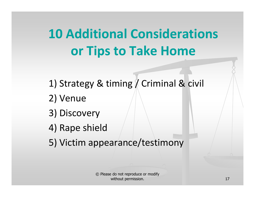# 10 Additional Considerationsor Tips to Take Home

1) Strategy & timing / Criminal & civil

- 2) Venue
- 3) Discovery
- 4) Rape shield
- 5) Victim appearance/testimony

© Please do not reproduce or modify without permission. $17$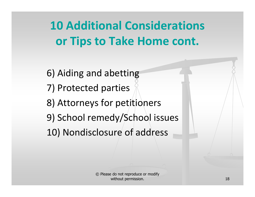10 Additional Considerationsor Tips to Take Home cont.

6) Aiding and abetting7) Protected parties 8) Attorneys for petitioners9) School remedy/School issues10) Nondisclosure of address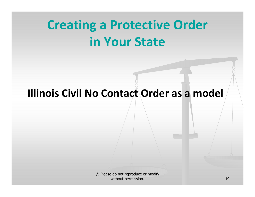# Creating a Protective Order in Your State

### Illinois Civil No Contact Order as a model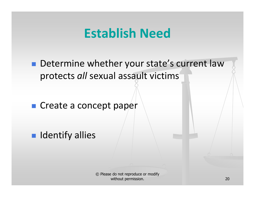### Establish Need

p. **Determine whether your state's current law** protects all sexual assault victims

■ Create a concept paper

**R** Identify allies

© Please do not reproduce or modify without permission. $\sim$  20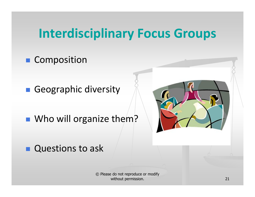### Interdisciplinary Focus Groups

### **E** Composition

■ Geographic diversity

■ Who will organize them?



 $\blacksquare$ Questions to ask

> © Please do not reproduce or modify without permission..  $21$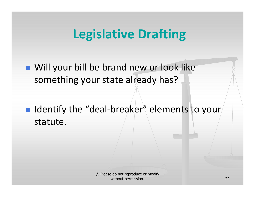### Legislative Drafting

p. **Nill your bill be brand new or look like** something your state already has?

 $\blacksquare$  Identify the "deal-breaker" elements to your statute.

> © Please do not reproduce or modify without permission.<u>. 22</u>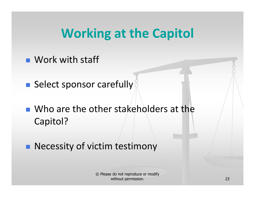### Working at the Capitol

p. ■ Work with staff

**Select sponsor carefully** 

■ Who are the other stakeholders at the Capitol?

**Necessity of victim testimony**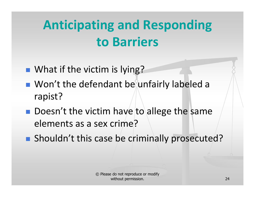# Anticipating and Responding to Barriers

- p. ■ What if the victim is lying?
- Won't the defendant be unfairly labeled a rapist?
- $\blacksquare$  Doesn't the victim have to allege the same elements as a sex crime?
- **Shouldn't this case be criminally prosecuted?**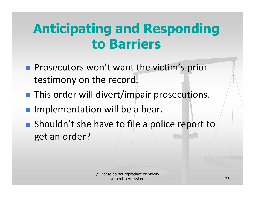# Anticipating and Responding to Barriers

- p. **Prosecutors won't want the victim's prior** testimony on the record.
- **This order will divert/impair prosecutions.**
- **Implementation will be a bear.**
- **Shouldn't she have to file a police report to** get an order?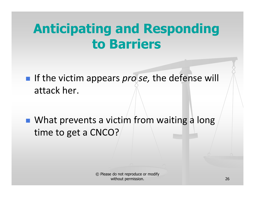## Anticipating and Responding to Barriers

- If the victim appears *profise*, the defense will attack her.
- What prevents a victim from waiting a long time to get a CNCO?

© Please do not reproduce or modify without permission. $\sim$  26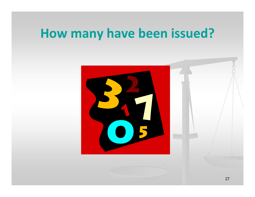## How many have been issued?

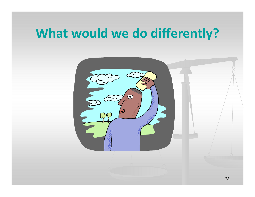### What would we do differently?

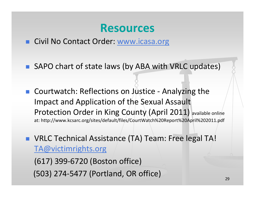### Resources

- Civil No Contact Order: www.icasa.org
- SAPO chart of state laws (by ABA with VRLC updates)
- T. Courtwatch: Reflections on Justice - Analyzing the Impact and Application of the Sexual Assault Protection Order in King County (April 2011) available online at: http://www.kcsarc.org/sites/default/files/CourtWatch%20Report%20April%202011.pdf
- VRLC Technical Assistance (TA) Team: Free legal TA! TA@victimrights.org

(617) 399-6720 (Boston office)(503) 274-5477 (Portland, OR office)